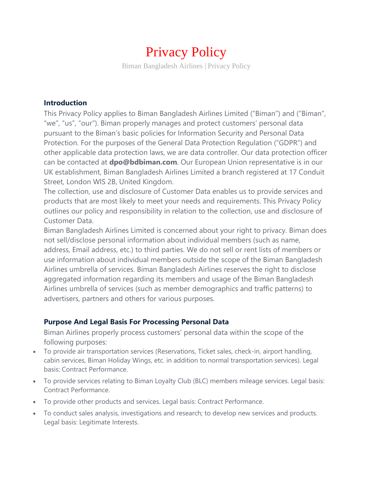# Privacy Policy

Biman Bangladesh Airlines | Privacy Policy

#### **Introduction**

This Privacy Policy applies to Biman Bangladesh Airlines Limited ("Biman") and ("Biman", "we", "us", "our"). Biman properly manages and protect customers' personal data pursuant to the Biman's basic policies for Information Security and Personal Data Protection. For the purposes of the General Data Protection Regulation ("GDPR") and other applicable data protection laws, we are data controller. Our data protection officer can be contacted at **dpo@bdbiman.com**. Our European Union representative is in our UK establishment, Biman Bangladesh Airlines Limited a branch registered at 17 Conduit Street, London WlS 2B, United Kingdom.

The collection, use and disclosure of Customer Data enables us to provide services and products that are most likely to meet your needs and requirements. This Privacy Policy outlines our policy and responsibility in relation to the collection, use and disclosure of Customer Data.

Biman Bangladesh Airlines Limited is concerned about your right to privacy. Biman does not sell/disclose personal information about individual members (such as name, address, Email address, etc.) to third parties. We do not sell or rent lists of members or use information about individual members outside the scope of the Biman Bangladesh Airlines umbrella of services. Biman Bangladesh Airlines reserves the right to disclose aggregated information regarding its members and usage of the Biman Bangladesh Airlines umbrella of services (such as member demographics and traffic patterns) to advertisers, partners and others for various purposes.

#### **Purpose And Legal Basis For Processing Personal Data**

Biman Airlines properly process customers' personal data within the scope of the following purposes:

- To provide air transportation services (Reservations, Ticket sales, check-in, airport handling, cabin services, Biman Holiday Wings, etc. in addition to normal transportation services). Legal basis: Contract Performance.
- To provide services relating to Biman Loyalty Club (BLC) members mileage services. Legal basis: Contract Performance.
- To provide other products and services. Legal basis: Contract Performance.
- To conduct sales analysis, investigations and research; to develop new services and products. Legal basis: Legitimate Interests.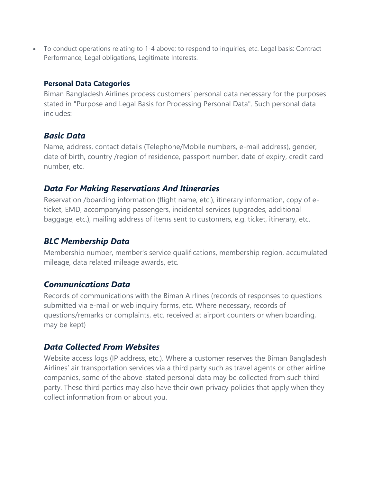To conduct operations relating to 1-4 above; to respond to inquiries, etc. Legal basis: Contract Performance, Legal obligations, Legitimate Interests.

#### **Personal Data Categories**

Biman Bangladesh Airlines process customers' personal data necessary for the purposes stated in "Purpose and Legal Basis for Processing Personal Data". Such personal data includes:

# *Basic Data*

Name, address, contact details (Telephone/Mobile numbers, e-mail address), gender, date of birth, country /region of residence, passport number, date of expiry, credit card number, etc.

# *Data For Making Reservations And Itineraries*

Reservation /boarding information (flight name, etc.), itinerary information, copy of eticket, EMD, accompanying passengers, incidental services (upgrades, additional baggage, etc.), mailing address of items sent to customers, e.g. ticket, itinerary, etc.

## *BLC Membership Data*

Membership number, member's service qualifications, membership region, accumulated mileage, data related mileage awards, etc.

## *Communications Data*

Records of communications with the Biman Airlines (records of responses to questions submitted via e-mail or web inquiry forms, etc. Where necessary, records of questions/remarks or complaints, etc. received at airport counters or when boarding, may be kept)

## *Data Collected From Websites*

Website access logs (IP address, etc.). Where a customer reserves the Biman Bangladesh Airlines' air transportation services via a third party such as travel agents or other airline companies, some of the above-stated personal data may be collected from such third party. These third parties may also have their own privacy policies that apply when they collect information from or about you.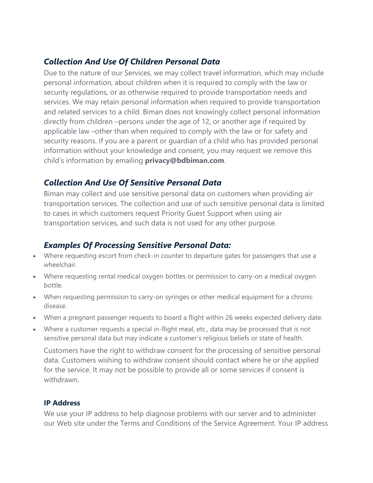# *Collection And Use Of Children Personal Data*

Due to the nature of our Services, we may collect travel information, which may include personal information, about children when it is required to comply with the law or security regulations, or as otherwise required to provide transportation needs and services. We may retain personal information when required to provide transportation and related services to a child. Biman does not knowingly collect personal information directly from children –persons under the age of 12, or another age if required by applicable law –other than when required to comply with the law or for safety and security reasons. If you are a parent or guardian of a child who has provided personal information without your knowledge and consent, you may request we remove this child's information by emailing **privacy@bdbiman.com**.

# *Collection And Use Of Sensitive Personal Data*

Biman may collect and use sensitive personal data on customers when providing air transportation services. The collection and use of such sensitive personal data is limited to cases in which customers request Priority Guest Support when using air transportation services, and such data is not used for any other purpose.

# *Examples Of Processing Sensitive Personal Data:*

- Where requesting escort from check-in counter to departure gates for passengers that use a wheelchair.
- Where requesting rental medical oxygen bottles or permission to carry-on a medical oxygen bottle.
- When requesting permission to carry-on syringes or other medical equipment for a chronic disease.
- When a pregnant passenger requests to board a flight within 26 weeks expected delivery date.
- Where a customer requests a special in-flight meal, etc., data may be processed that is not sensitive personal data but may indicate a customer's religious beliefs or state of health.

Customers have the right to withdraw consent for the processing of sensitive personal data. Customers wishing to withdraw consent should contact where he or she applied for the service. It may not be possible to provide all or some services if consent is withdrawn.

#### **IP Address**

We use your IP address to help diagnose problems with our server and to administer our Web site under the Terms and Conditions of the Service Agreement. Your IP address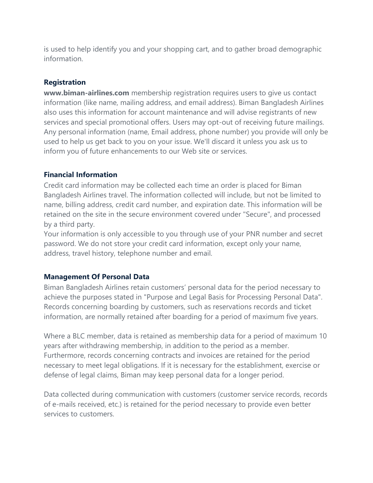is used to help identify you and your shopping cart, and to gather broad demographic information.

#### **Registration**

**www.biman-airlines.com** membership registration requires users to give us contact information (like name, mailing address, and email address). Biman Bangladesh Airlines also uses this information for account maintenance and will advise registrants of new services and special promotional offers. Users may opt-out of receiving future mailings. Any personal information (name, Email address, phone number) you provide will only be used to help us get back to you on your issue. We'll discard it unless you ask us to inform you of future enhancements to our Web site or services.

#### **Financial Information**

Credit card information may be collected each time an order is placed for Biman Bangladesh Airlines travel. The information collected will include, but not be limited to name, billing address, credit card number, and expiration date. This information will be retained on the site in the secure environment covered under "Secure", and processed by a third party.

Your information is only accessible to you through use of your PNR number and secret password. We do not store your credit card information, except only your name, address, travel history, telephone number and email.

#### **Management Of Personal Data**

Biman Bangladesh Airlines retain customers' personal data for the period necessary to achieve the purposes stated in "Purpose and Legal Basis for Processing Personal Data". Records concerning boarding by customers, such as reservations records and ticket information, are normally retained after boarding for a period of maximum five years.

Where a BLC member, data is retained as membership data for a period of maximum 10 years after withdrawing membership, in addition to the period as a member. Furthermore, records concerning contracts and invoices are retained for the period necessary to meet legal obligations. If it is necessary for the establishment, exercise or defense of legal claims, Biman may keep personal data for a longer period.

Data collected during communication with customers (customer service records, records of e-mails received, etc.) is retained for the period necessary to provide even better services to customers.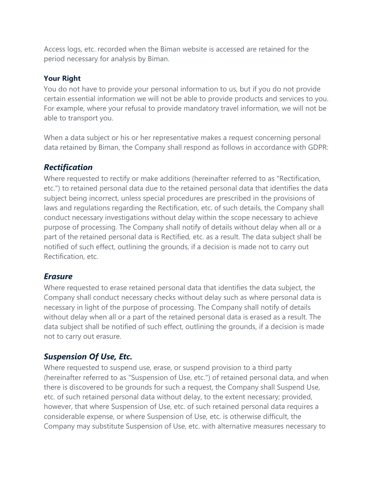Access logs, etc. recorded when the Biman website is accessed are retained for the period necessary for analysis by Biman.

#### **Your Right**

You do not have to provide your personal information to us, but if you do not provide certain essential information we will not be able to provide products and services to you. For example, where your refusal to provide mandatory travel information, we will not be able to transport you.

When a data subject or his or her representative makes a request concerning personal data retained by Biman, the Company shall respond as follows in accordance with GDPR:

### *Rectification*

Where requested to rectify or make additions (hereinafter referred to as "Rectification, etc.") to retained personal data due to the retained personal data that identifies the data subject being incorrect, unless special procedures are prescribed in the provisions of laws and regulations regarding the Rectification, etc. of such details, the Company shall conduct necessary investigations without delay within the scope necessary to achieve purpose of processing. The Company shall notify of details without delay when all or a part of the retained personal data is Rectified, etc. as a result. The data subject shall be notified of such effect, outlining the grounds, if a decision is made not to carry out Rectification, etc.

#### *Erasure*

Where requested to erase retained personal data that identifies the data subject, the Company shall conduct necessary checks without delay such as where personal data is necessary in light of the purpose of processing. The Company shall notify of details without delay when all or a part of the retained personal data is erased as a result. The data subject shall be notified of such effect, outlining the grounds, if a decision is made not to carry out erasure.

## *Suspension Of Use, Etc.*

Where requested to suspend use, erase, or suspend provision to a third party (hereinafter referred to as "Suspension of Use, etc.") of retained personal data, and when there is discovered to be grounds for such a request, the Company shall Suspend Use, etc. of such retained personal data without delay, to the extent necessary; provided, however, that where Suspension of Use, etc. of such retained personal data requires a considerable expense, or where Suspension of Use, etc. is otherwise difficult, the Company may substitute Suspension of Use, etc. with alternative measures necessary to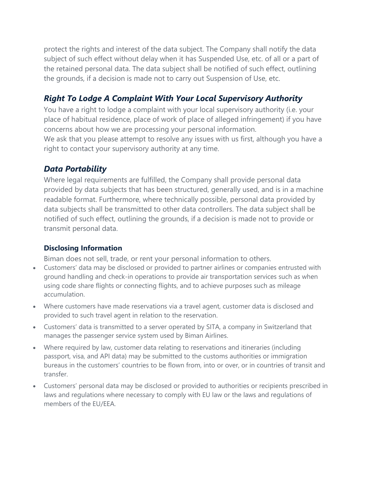protect the rights and interest of the data subject. The Company shall notify the data subject of such effect without delay when it has Suspended Use, etc. of all or a part of the retained personal data. The data subject shall be notified of such effect, outlining the grounds, if a decision is made not to carry out Suspension of Use, etc.

# *Right To Lodge A Complaint With Your Local Supervisory Authority*

You have a right to lodge a complaint with your local supervisory authority (i.e. your place of habitual residence, place of work of place of alleged infringement) if you have concerns about how we are processing your personal information.

We ask that you please attempt to resolve any issues with us first, although you have a right to contact your supervisory authority at any time.

# *Data Portability*

Where legal requirements are fulfilled, the Company shall provide personal data provided by data subjects that has been structured, generally used, and is in a machine readable format. Furthermore, where technically possible, personal data provided by data subjects shall be transmitted to other data controllers. The data subject shall be notified of such effect, outlining the grounds, if a decision is made not to provide or transmit personal data.

## **Disclosing Information**

Biman does not sell, trade, or rent your personal information to others.

- Customers' data may be disclosed or provided to partner airlines or companies entrusted with ground handling and check-in operations to provide air transportation services such as when using code share flights or connecting flights, and to achieve purposes such as mileage accumulation.
- Where customers have made reservations via a travel agent, customer data is disclosed and provided to such travel agent in relation to the reservation.
- Customers' data is transmitted to a server operated by SITA, a company in Switzerland that manages the passenger service system used by Biman Airlines.
- Where required by law, customer data relating to reservations and itineraries (including passport, visa, and API data) may be submitted to the customs authorities or immigration bureaus in the customers' countries to be flown from, into or over, or in countries of transit and transfer.
- Customers' personal data may be disclosed or provided to authorities or recipients prescribed in laws and regulations where necessary to comply with EU law or the laws and regulations of members of the EU/EEA.